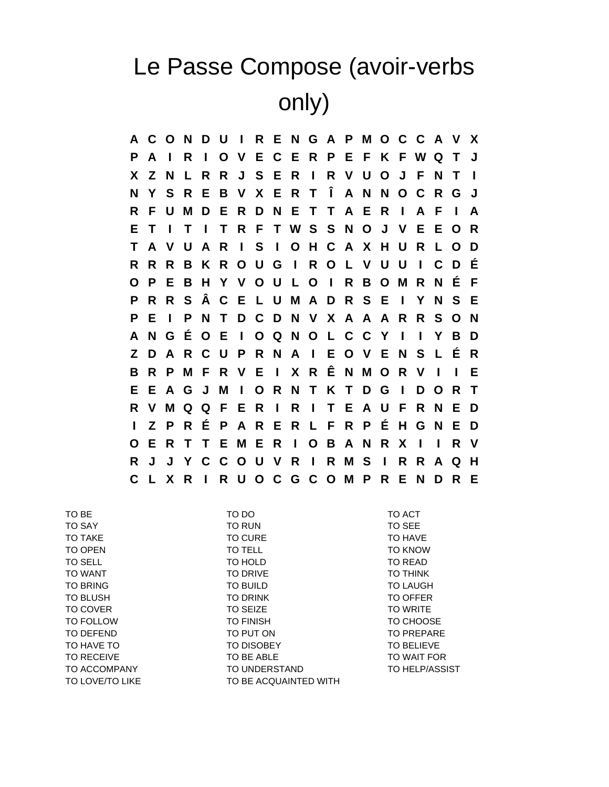## Le Passe Compose (avoir-verbs only)

**A C O N D U I R E N G A P M O C C A V X P A I R I O V E C E R P E F K F W Q T J X Z N L R R J S E R I R V U O J F N T I N Y S R E B V X E R T Î A N N O C R G J R F U M D E R D N E T T A E R I A F I A E T I T I T R F T W S S N O J V E E O R T A V U A R I S I O H C A X H U R L O D R R R B K R O U G I R O L V U U I C D É O P E B H Y V O U L O I R B O M R N É F P R R S Â C E L U M A D R S E I Y N S E P E I P N T D C D N V X A A A R R S O N A N G É O E I O Q N O L C C Y I I Y B D Z D A R C U P R N A I E O V E N S L É R B R P M F R V E I X R Ê N M O R V I I E E E A G J M I O R N T K T D G I D O R T R V M Q Q F E R I R I T E A U F R N E D I Z P R É P A R E R L F R P É H G N E D O E R T T E M E R I O B A N R X I I R V R J J Y C C O U V R I R M S I R R A Q H C L X R I R U O C G C O M P R E N D R E**

TO LOVE/TO LIKE TO BE ACQUAINTED WITH

TO BE TO DO TO DO TO ACT TO SAY TO RUN TO SEE TO TAKE TO CURE TO GURE TO TAKE TO HAVE TO OPEN TO TELL TO TELL TO COPEN TO SELL TO HOLD TO READ TO WANT TO DRIVE TO DRIVE TO THINK TO BRING **TO BUILD** TO BUILD TO LAUGH TO BLUSH TO DRINK TO DRINK TO OFFER TO COVER TO SEIZE TO SEIZE TO TO TO TO WRITE TO FOLLOW TO FINISH TO CHOOSE TO DEFEND TO PUT ON TO PUT ON TO PREPARE TO HAVE TO TO TO DISOBET TO DISOBET TO BELIEVE TO RECEIVE TO BE ABLE TO BE ABLE TO WAIT FOR TO ACCOMPANY TO UNDERSTAND TO HELP/ASSIST